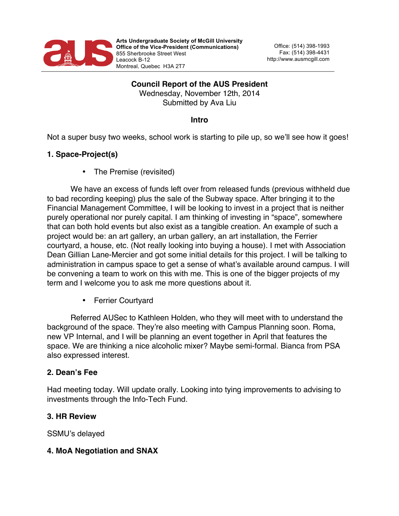

# **Council Report of the AUS President** Wednesday, November 12th, 2014 Submitted by Ava Liu

#### **Intro**

Not a super busy two weeks, school work is starting to pile up, so we'll see how it goes!

## **1. Space-Project(s)**

• The Premise (revisited)

We have an excess of funds left over from released funds (previous withheld due to bad recording keeping) plus the sale of the Subway space. After bringing it to the Financial Management Committee, I will be looking to invest in a project that is neither purely operational nor purely capital. I am thinking of investing in "space", somewhere that can both hold events but also exist as a tangible creation. An example of such a project would be: an art gallery, an urban gallery, an art installation, the Ferrier courtyard, a house, etc. (Not really looking into buying a house). I met with Association Dean Gillian Lane-Mercier and got some initial details for this project. I will be talking to administration in campus space to get a sense of what's available around campus. I will be convening a team to work on this with me. This is one of the bigger projects of my term and I welcome you to ask me more questions about it.

• Ferrier Courtyard

Referred AUSec to Kathleen Holden, who they will meet with to understand the background of the space. They're also meeting with Campus Planning soon. Roma, new VP Internal, and I will be planning an event together in April that features the space. We are thinking a nice alcoholic mixer? Maybe semi-formal. Bianca from PSA also expressed interest.

#### **2. Dean's Fee**

Had meeting today. Will update orally. Looking into tying improvements to advising to investments through the Info-Tech Fund.

## **3. HR Review**

SSMU's delayed

## **4. MoA Negotiation and SNAX**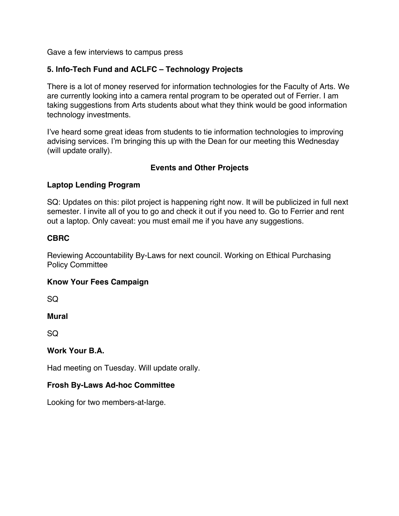Gave a few interviews to campus press

## **5. Info-Tech Fund and ACLFC – Technology Projects**

There is a lot of money reserved for information technologies for the Faculty of Arts. We are currently looking into a camera rental program to be operated out of Ferrier. I am taking suggestions from Arts students about what they think would be good information technology investments.

I've heard some great ideas from students to tie information technologies to improving advising services. I'm bringing this up with the Dean for our meeting this Wednesday (will update orally).

## **Events and Other Projects**

#### **Laptop Lending Program**

SQ: Updates on this: pilot project is happening right now. It will be publicized in full next semester. I invite all of you to go and check it out if you need to. Go to Ferrier and rent out a laptop. Only caveat: you must email me if you have any suggestions.

## **CBRC**

Reviewing Accountability By-Laws for next council. Working on Ethical Purchasing Policy Committee

#### **Know Your Fees Campaign**

SQ

**Mural** 

 $SO<sub>2</sub>$ 

#### **Work Your B.A.**

Had meeting on Tuesday. Will update orally.

## **Frosh By-Laws Ad-hoc Committee**

Looking for two members-at-large.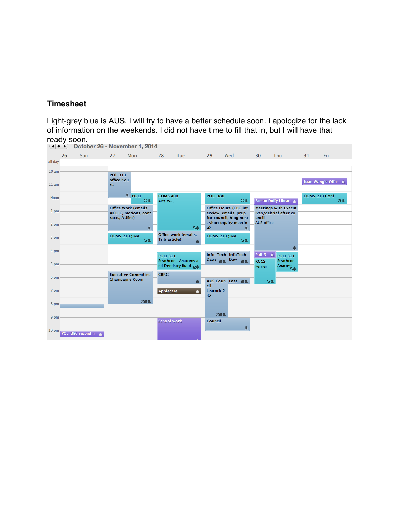## **Timesheet**

Light-grey blue is AUS. I will try to have a better schedule soon. I apologize for the lack of information on the weekends. I did not have time to fill that in, but I will have that ready soon.

|                  |                   | October 26 - November 1, 2014     |                                                            |                                         |                      |                                                                                |                                                    |                                                      |               |                   |
|------------------|-------------------|-----------------------------------|------------------------------------------------------------|-----------------------------------------|----------------------|--------------------------------------------------------------------------------|----------------------------------------------------|------------------------------------------------------|---------------|-------------------|
|                  | 26<br>Sun         | 27                                | Mon                                                        | 28<br>Tue                               | 29                   | Wed                                                                            | 30                                                 | Thu                                                  | 31            | Fri               |
| all day          |                   |                                   |                                                            |                                         |                      |                                                                                |                                                    |                                                      |               |                   |
| 10 <sub>am</sub> |                   | <b>POli 311</b>                   |                                                            |                                         |                      |                                                                                |                                                    |                                                      |               |                   |
| 11 am            |                   | office hou<br>rs.                 |                                                            |                                         |                      |                                                                                |                                                    |                                                      |               | Juan Wang's Offic |
|                  |                   |                                   | <sup>4</sup> POLI                                          | <b>COMS 400</b>                         | <b>POLI 380</b>      |                                                                                |                                                    |                                                      | COMS 210 Conf |                   |
| Noon             |                   |                                   | SA                                                         | Arts W-5                                |                      | SA                                                                             |                                                    | Eamon Duffy Librari                                  |               | ⊠▲                |
| 1 pm             |                   | racts, AUSec)                     | <b>Office Work (emails,</b><br><b>ACLFC, motions, cont</b> |                                         |                      | <b>Office Hours (CBC int</b><br>erview, emails, prep<br>for council, blog post | uncil                                              | <b>Meetings with Execut</b><br>ives/debrief after co |               |                   |
| 2 pm             |                   |                                   |                                                            | <b>SA</b>                               | g)                   | short equity meetin<br>r                                                       | <b>AUS</b> office                                  |                                                      |               |                   |
| 3 pm             |                   | <b>COMS 210 ; MA</b><br><b>SA</b> |                                                            | Office work (emails,<br>Trib article)   |                      | <b>COMS 210 ; MA</b><br>SA                                                     |                                                    |                                                      |               |                   |
| 4 pm             |                   |                                   |                                                            |                                         |                      |                                                                                |                                                    |                                                      |               |                   |
| 5 pm             |                   |                                   |                                                            | <b>POLI 311</b><br>Strathcona Anatomy a |                      | Info-Tech InfoTech<br>Daws as Daw<br>88                                        | Poli <sub>3</sub><br>$\blacksquare$<br><b>RGCS</b> | <b>POLI 311</b><br>Strathcona                        |               |                   |
|                  |                   |                                   |                                                            | nd Dentistry Build &                    |                      |                                                                                | Ferrier                                            | Anatomy a<br><b>SA</b>                               |               |                   |
| 6 pm             |                   |                                   | <b>Executive Committee</b>                                 | <b>CBRC</b>                             |                      |                                                                                |                                                    |                                                      |               |                   |
|                  |                   | Champagne Room                    |                                                            | Δ                                       | cil                  | AUS Coun Last A&                                                               | SA                                                 |                                                      |               |                   |
| 7 pm             |                   |                                   |                                                            | $\blacksquare$<br><b>Applecare</b>      | Leacock <sub>2</sub> |                                                                                |                                                    |                                                      |               |                   |
|                  |                   |                                   | 842                                                        |                                         | 32                   |                                                                                |                                                    |                                                      |               |                   |
| 8 pm             |                   |                                   |                                                            |                                         |                      |                                                                                |                                                    |                                                      |               |                   |
| 9 pm             |                   |                                   |                                                            |                                         |                      | 844                                                                            |                                                    |                                                      |               |                   |
|                  |                   |                                   |                                                            | <b>School work</b>                      | Council              |                                                                                |                                                    |                                                      |               |                   |
| 10 <sub>pm</sub> |                   |                                   |                                                            |                                         |                      | $\mathbf{a}$                                                                   |                                                    |                                                      |               |                   |
|                  | POLI 380 second n |                                   |                                                            |                                         |                      |                                                                                |                                                    |                                                      |               |                   |